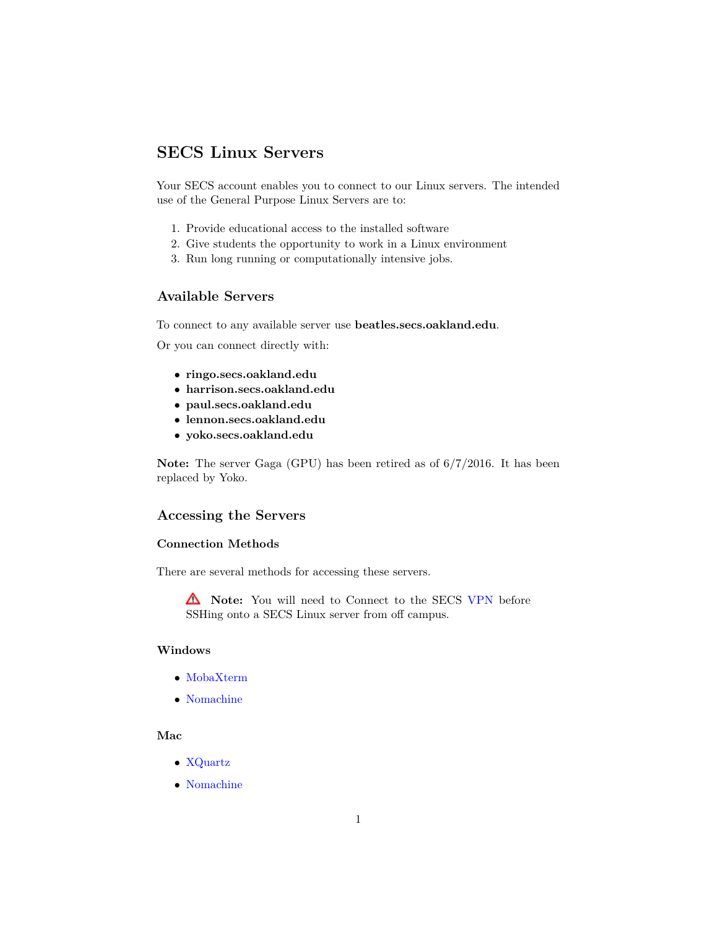# **SECS Linux Servers**

Your SECS account enables you to connect to our Linux servers. The intended use of the General Purpose Linux Servers are to:

- 1. Provide educational access to the installed software
- 2. Give students the opportunity to work in a Linux environment
- 3. Run long running or computationally intensive jobs.

## **Available Servers**

To connect to any available server use **beatles.secs.oakland.edu**.

Or you can connect directly with:

- **ringo.secs.oakland.edu**
- **harrison.secs.oakland.edu**
- **paul.secs.oakland.edu**
- **lennon.secs.oakland.edu**
- **yoko.secs.oakland.edu**

**Note:** The server Gaga (GPU) has been retired as of 6/7/2016. It has been replaced by Yoko.

## **Accessing the Servers**

#### **Connection Methods**

There are several methods for accessing these servers.

**A** Note: You will need to Connect to the SECS [VPN](http://secs.oakland.edu/docs/pdf/vpn.pdf) before SSHing onto a SECS Linux server from off campus.

# **Windows**

- [MobaXterm](http://secs.oakland.edu/docs/pdf/mobaXTermConnectToServer.pdf)
- [Nomachine](http://secs.oakland.edu/docs/pdf/noMachine.pdf)

#### **Mac**

- [XQuartz](http://secs.oakland.edu/docs/pdf/x11_Xquartz.pdf)
- [Nomachine](http://secs.oakland.edu/docs/pdf/noMachine.pdf)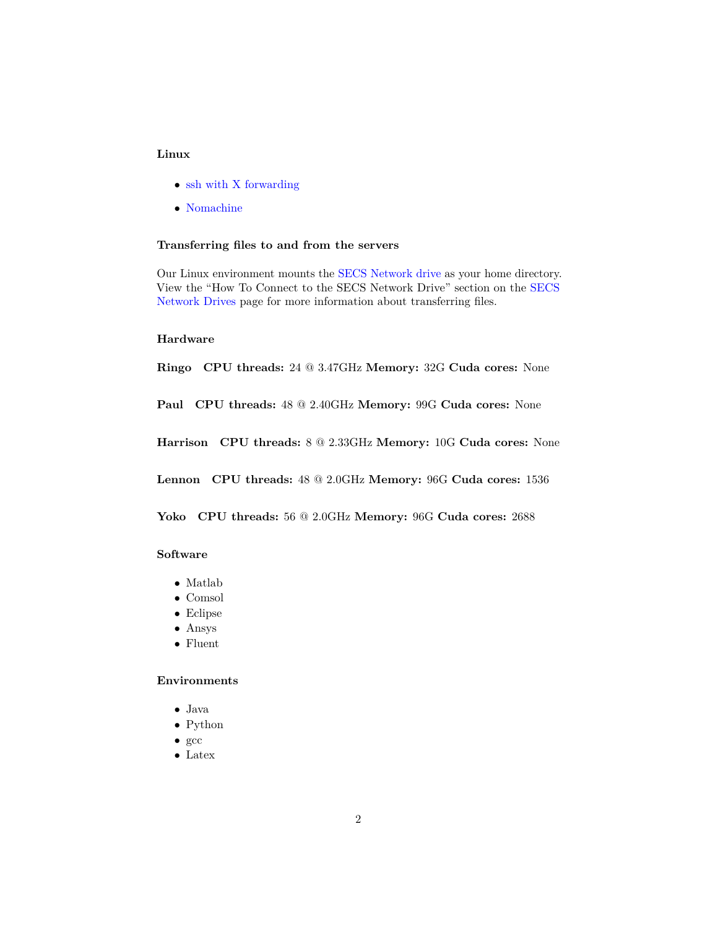## **Linux**

- [ssh with X forwarding](http://secs.oakland.edu/docs/pdf/x11_Xquartz.pdf)
- [Nomachine](http://secs.oakland.edu/docs/pdf/noMachine.pdf)

#### **Transferring files to and from the servers**

Our Linux environment mounts the [SECS Network drive](http://secs.oakland.edu/docs/pdf/accessNetworkDrive.pdf) as your home directory. View the "How To Connect to the SECS Network Drive" section on the [SECS](http://secs.oakland.edu/docs/pdf/accessNetworkDrive.pdf) [Network Drives](http://secs.oakland.edu/docs/pdf/accessNetworkDrive.pdf) page for more information about transferring files.

#### **Hardware**

**Ringo CPU threads:** 24 @ 3.47GHz **Memory:** 32G **Cuda cores:** None

**Paul CPU threads:** 48 @ 2.40GHz **Memory:** 99G **Cuda cores:** None

**Harrison CPU threads:** 8 @ 2.33GHz **Memory:** 10G **Cuda cores:** None

**Lennon CPU threads:** 48 @ 2.0GHz **Memory:** 96G **Cuda cores:** 1536

**Yoko CPU threads:** 56 @ 2.0GHz **Memory:** 96G **Cuda cores:** 2688

#### **Software**

- Matlab
- Comsol
- Eclipse
- Ansys
- Fluent

#### **Environments**

- $\bullet\,$  Java
- Python
- gcc
- Latex